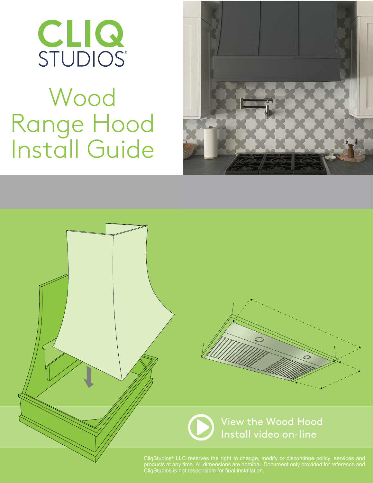

# Wood Range Hood Install Guide





CliqStudios® LLC reserves the right to change, modify or discontinue policy, services and products at any time. All dimensions are nominal. Document only provided for reference and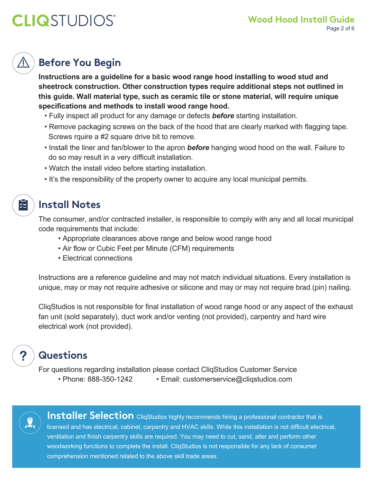## **Before You Begin**

**Instructions are a guideline for a basic wood range hood installing to wood stud and sheetrock construction. Other construction types require additional steps not outlined in this guide. Wall material type, such as ceramic tile or stone material, will require unique specifications and methods to install wood range hood.**

- Fully inspect all product for any damage or defects *before* starting installation.
- Remove packaging screws on the back of the hood that are clearly marked with flagging tape. Screws rquire a #2 square drive bit to remove.
- Install the liner and fan/blower to the apron *before* hanging wood hood on the wall. Failure to do so may result in a very difficult installation.
- Watch the install video before starting installation.
- It's the responsibility of the property owner to acquire any local municipal permits.

#### **Install Notes**

 $\left| \frac{1}{\sqrt{n}} \right|$ 

The consumer, and/or contracted installer, is responsible to comply with any and all local municipal code requirements that include:

- Appropriate clearances above range and below wood range hood
- Air flow or Cubic Feet per Minute (CFM) requirements
- Electrical connections

Instructions are a reference guideline and may not match individual situations. Every installation is unique, may or may not require adhesive or silicone and may or may not require brad (pin) nailing.

CliqStudios is not responsible for final installation of wood range hood or any aspect of the exhaust fan unit (sold separately), duct work and/or venting (not provided), carpentry and hard wire electrical work (not provided).

#### **Questions**

For questions regarding installation please contact CliqStudios Customer Service

• Phone: 888-350-1242 • Email: customerservice@cliqstudios.com



**Installer Selection** CliqStudios highly recommends hiring a professional contractor that is licensed and has electrical, cabinet, carpentry and HVAC skills. While this installation is not difficult electrical, ventilation and finish carpentry skills are required. You may need to cut, sand, alter and perform other woodworking functions to complete the install. CliqStudios is not responsible for any lack of consumer comprehension mentioned related to the above skill trade areas.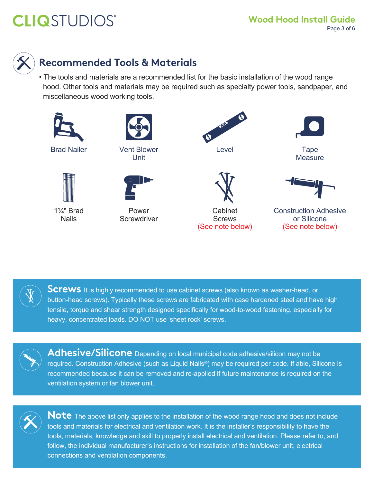

### **Recommended Tools & Materials**

• The tools and materials are a recommended list for the basic installation of the wood range hood. Other tools and materials may be required such as specialty power tools, sandpaper, and miscellaneous wood working tools.





**Screws** It is highly recommended to use cabinet screws (also known as washer-head, or button-head screws). Typically these screws are fabricated with case hardened steel and have high tensile, torque and shear strength designed specifically for wood-to-wood fastening, especially for heavy, concentrated loads. DO NOT use 'sheet rock' screws.



**Adhesive/Silicone** Depending on local municipal code adhesive/silicon may not be required. Construction Adhesive (such as Liquid Nails®) may be required per code. If able, Silicone is recommended because it can be removed and re-applied if future maintenance is required on the ventilation system or fan blower unit.



**Note** The above list only applies to the installation of the wood range hood and does not include tools and materials for electrical and ventilation work. It is the installer's responsibility to have the tools, materials, knowledge and skill to properly install electrical and ventilation. Please refer to, and follow, the individual manufacturer's instructions for installation of the fan/blower unit, electrical connections and ventilation components.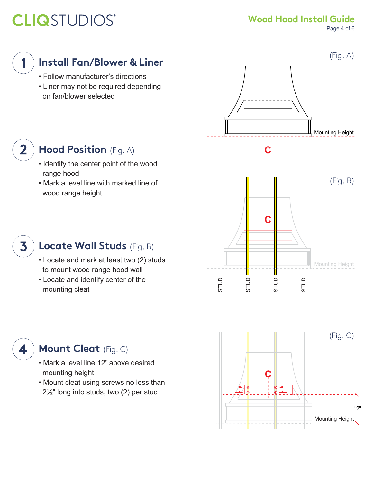range hood

wood range height

**Wood Hood Install Guide**

Page 4 of 6



 $\overline{2}$ 

 $\overline{\mathbf{3}}$ 

4

#### **Install Fan/Blower & Liner**

- Follow manufacturer's directions
- Liner may not be required depending on fan/blower selected

• Identify the center point of the wood

**Hood Position** (Fig. A)

• Mark a level line with marked line of





- Locate and mark at least two (2) studs to mount wood range hood wall
- Locate and identify center of the mounting cleat



- Mark a level line 12" above desired mounting height
- Mount cleat using screws no less than 2½" long into studs, two (2) per stud

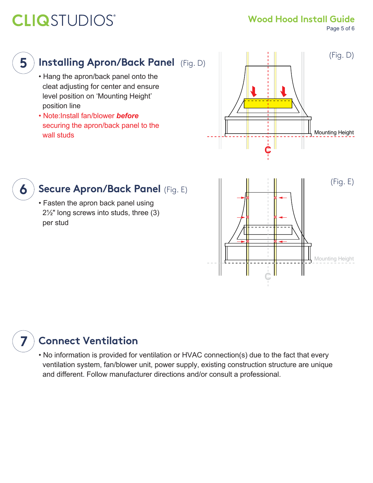**Wood Hood Install Guide**

Page 5 of 6

#### 5

6

7

### **Installing Apron/Back Panel** (Fig. D)

- Hang the apron/back panel onto the cleat adjusting for center and ensure level position on 'Mounting Height' position line
- Note:Install fan/blower *before*  securing the apron/back panel to the wall studs



#### **Secure Apron/Back Panel** (Fig. E)

• Fasten the apron back panel using 2½" long screws into studs, three (3) per stud



### **Connect Ventilation**

• No information is provided for ventilation or HVAC connection(s) due to the fact that every ventilation system, fan/blower unit, power supply, existing construction structure are unique and different. Follow manufacturer directions and/or consult a professional.